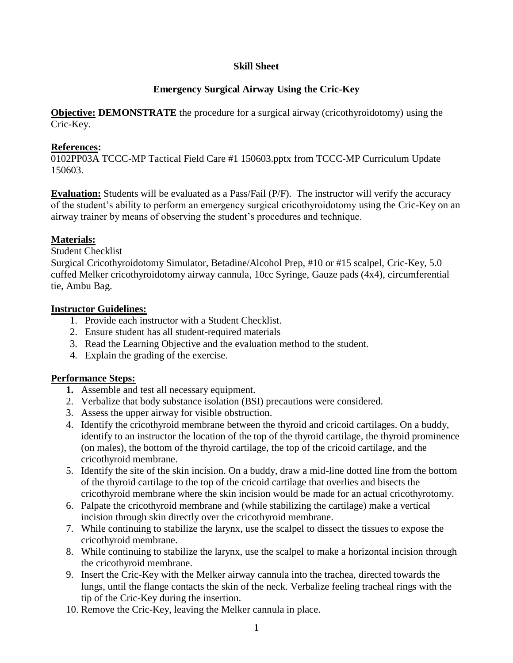#### **Skill Sheet**

## **Emergency Surgical Airway Using the Cric-Key**

**Objective: DEMONSTRATE** the procedure for a surgical airway (cricothyroidotomy) using the Cric-Key.

#### **References:**

0102PP03A TCCC-MP Tactical Field Care #1 150603.pptx from TCCC-MP Curriculum Update 150603.

**Evaluation:** Students will be evaluated as a Pass/Fail (P/F). The instructor will verify the accuracy of the student's ability to perform an emergency surgical cricothyroidotomy using the Cric-Key on an airway trainer by means of observing the student's procedures and technique.

### **Materials:**

Student Checklist

Surgical Cricothyroidotomy Simulator, Betadine/Alcohol Prep, #10 or #15 scalpel, Cric-Key, 5.0 cuffed Melker cricothyroidotomy airway cannula, 10cc Syringe, Gauze pads (4x4), circumferential tie, Ambu Bag.

### **Instructor Guidelines:**

- 1. Provide each instructor with a Student Checklist.
- 2. Ensure student has all student-required materials
- 3. Read the Learning Objective and the evaluation method to the student.
- 4. Explain the grading of the exercise.

### **Performance Steps:**

- **1.** Assemble and test all necessary equipment.
- 2. Verbalize that body substance isolation (BSI) precautions were considered.
- 3. Assess the upper airway for visible obstruction.
- 4. Identify the cricothyroid membrane between the thyroid and cricoid cartilages. On a buddy, identify to an instructor the location of the top of the thyroid cartilage, the thyroid prominence (on males), the bottom of the thyroid cartilage, the top of the cricoid cartilage, and the cricothyroid membrane.
- 5. Identify the site of the skin incision. On a buddy, draw a mid-line dotted line from the bottom of the thyroid cartilage to the top of the cricoid cartilage that overlies and bisects the cricothyroid membrane where the skin incision would be made for an actual cricothyrotomy.
- 6. Palpate the cricothyroid membrane and (while stabilizing the cartilage) make a vertical incision through skin directly over the cricothyroid membrane.
- 7. While continuing to stabilize the larynx, use the scalpel to dissect the tissues to expose the cricothyroid membrane.
- 8. While continuing to stabilize the larynx, use the scalpel to make a horizontal incision through the cricothyroid membrane.
- 9. Insert the Cric-Key with the Melker airway cannula into the trachea, directed towards the lungs, until the flange contacts the skin of the neck. Verbalize feeling tracheal rings with the tip of the Cric-Key during the insertion.
- 10. Remove the Cric-Key, leaving the Melker cannula in place.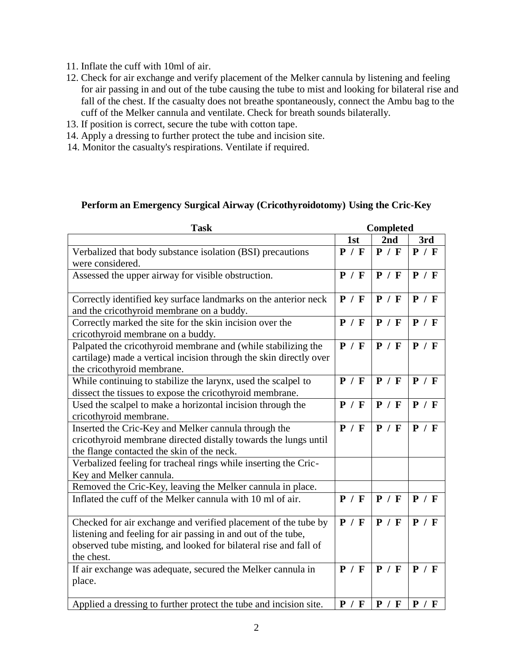- 11. Inflate the cuff with 10ml of air.
- 12. Check for air exchange and verify placement of the Melker cannula by listening and feeling for air passing in and out of the tube causing the tube to mist and looking for bilateral rise and fall of the chest. If the casualty does not breathe spontaneously, connect the Ambu bag to the cuff of the Melker cannula and ventilate. Check for breath sounds bilaterally.
- 13. If position is correct, secure the tube with cotton tape.
- 14. Apply a dressing to further protect the tube and incision site.
- 14. Monitor the casualty's respirations. Ventilate if required.

#### **Perform an Emergency Surgical Airway (Cricothyroidotomy) Using the Cric-Key**

| <b>Task</b>                                                                                                                                                                                                       | <b>Completed</b> |       |       |
|-------------------------------------------------------------------------------------------------------------------------------------------------------------------------------------------------------------------|------------------|-------|-------|
|                                                                                                                                                                                                                   | 1 <sub>st</sub>  | 2nd   | 3rd   |
| Verbalized that body substance isolation (BSI) precautions<br>were considered.                                                                                                                                    | P / F            | P / F | P / F |
| Assessed the upper airway for visible obstruction.                                                                                                                                                                | P / F            | P / F | P / F |
| Correctly identified key surface landmarks on the anterior neck<br>and the cricothyroid membrane on a buddy.                                                                                                      | P / F            | P / F | P / F |
| Correctly marked the site for the skin incision over the<br>cricothyroid membrane on a buddy.                                                                                                                     | P / F            | P / F | P / F |
| Palpated the cricothyroid membrane and (while stabilizing the<br>cartilage) made a vertical incision through the skin directly over<br>the cricothyroid membrane.                                                 | P / F            | P / F | P / F |
| While continuing to stabilize the larynx, used the scalpel to<br>dissect the tissues to expose the cricothyroid membrane.                                                                                         | P / F            | P / F | P / F |
| Used the scalpel to make a horizontal incision through the<br>cricothyroid membrane.                                                                                                                              | P / F            | P / F | P / F |
| Inserted the Cric-Key and Melker cannula through the<br>cricothyroid membrane directed distally towards the lungs until<br>the flange contacted the skin of the neck.                                             | P / F            | P / F | P / F |
| Verbalized feeling for tracheal rings while inserting the Cric-<br>Key and Melker cannula.                                                                                                                        |                  |       |       |
| Removed the Cric-Key, leaving the Melker cannula in place.                                                                                                                                                        |                  |       |       |
| Inflated the cuff of the Melker cannula with 10 ml of air.                                                                                                                                                        | P / F            | P / F | P / F |
| Checked for air exchange and verified placement of the tube by<br>listening and feeling for air passing in and out of the tube,<br>observed tube misting, and looked for bilateral rise and fall of<br>the chest. | P / F            | P / F | P / F |
| If air exchange was adequate, secured the Melker cannula in<br>place.                                                                                                                                             | P / F            | P / F | P / F |
| Applied a dressing to further protect the tube and incision site.                                                                                                                                                 | P / F            | P / F | P / F |